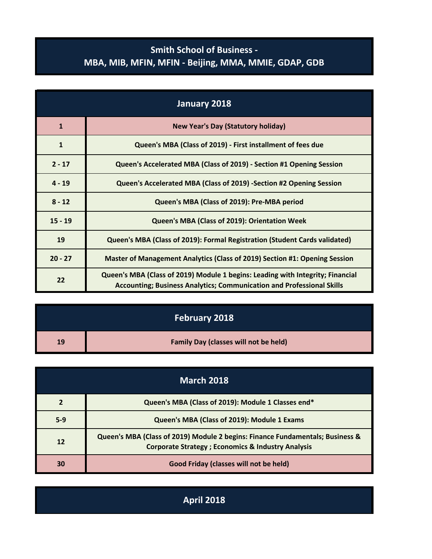## **Smith School of Business - MBA, MIB, MFIN, MFIN - Beijing, MMA, MMIE, GDAP, GDB**

| January 2018 |                                                                                                                                                                |
|--------------|----------------------------------------------------------------------------------------------------------------------------------------------------------------|
| $\mathbf{1}$ | <b>New Year's Day (Statutory holiday)</b>                                                                                                                      |
| $\mathbf{1}$ | Queen's MBA (Class of 2019) - First installment of fees due                                                                                                    |
| $2 - 17$     | Queen's Accelerated MBA (Class of 2019) - Section #1 Opening Session                                                                                           |
| $4 - 19$     | Queen's Accelerated MBA (Class of 2019) -Section #2 Opening Session                                                                                            |
| $8 - 12$     | Queen's MBA (Class of 2019): Pre-MBA period                                                                                                                    |
| $15 - 19$    | Queen's MBA (Class of 2019): Orientation Week                                                                                                                  |
| 19           | Queen's MBA (Class of 2019): Formal Registration (Student Cards validated)                                                                                     |
| $20 - 27$    | Master of Management Analytics (Class of 2019) Section #1: Opening Session                                                                                     |
| 22           | Queen's MBA (Class of 2019) Module 1 begins: Leading with Integrity; Financial<br><b>Accounting; Business Analytics; Communication and Professional Skills</b> |

|    | February 2018                                |
|----|----------------------------------------------|
| 19 | <b>Family Day (classes will not be held)</b> |

| <b>March 2018</b> |                                                                                                                                                |
|-------------------|------------------------------------------------------------------------------------------------------------------------------------------------|
|                   | Queen's MBA (Class of 2019): Module 1 Classes end*                                                                                             |
| $5-9$             | Queen's MBA (Class of 2019): Module 1 Exams                                                                                                    |
| 12                | Queen's MBA (Class of 2019) Module 2 begins: Finance Fundamentals; Business &<br><b>Corporate Strategy ; Economics &amp; Industry Analysis</b> |
| 30                | Good Friday (classes will not be held)                                                                                                         |

**April 2018**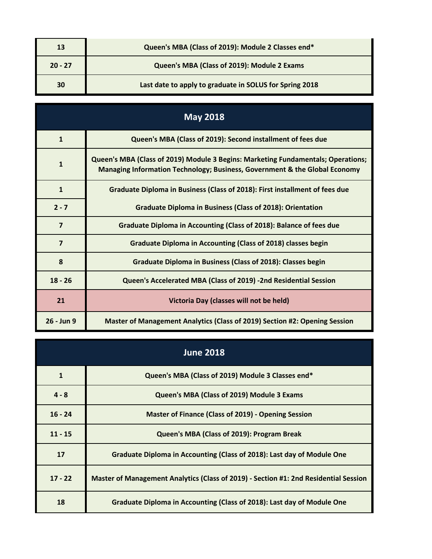| 13        | Queen's MBA (Class of 2019): Module 2 Classes end*      |
|-----------|---------------------------------------------------------|
| $20 - 27$ | Queen's MBA (Class of 2019): Module 2 Exams             |
| 30        | Last date to apply to graduate in SOLUS for Spring 2018 |

| <b>May 2018</b>         |                                                                                                                                                                |
|-------------------------|----------------------------------------------------------------------------------------------------------------------------------------------------------------|
| $\mathbf{1}$            | Queen's MBA (Class of 2019): Second installment of fees due                                                                                                    |
| $\mathbf{1}$            | Queen's MBA (Class of 2019) Module 3 Begins: Marketing Fundamentals; Operations;<br>Managing Information Technology; Business, Government & the Global Economy |
| $\mathbf{1}$            | Graduate Diploma in Business (Class of 2018): First installment of fees due                                                                                    |
| $2 - 7$                 | <b>Graduate Diploma in Business (Class of 2018): Orientation</b>                                                                                               |
| $\overline{\mathbf{z}}$ | Graduate Diploma in Accounting (Class of 2018): Balance of fees due                                                                                            |
| $\overline{\mathbf{z}}$ | Graduate Diploma in Accounting (Class of 2018) classes begin                                                                                                   |
| 8                       | <b>Graduate Diploma in Business (Class of 2018): Classes begin</b>                                                                                             |
| $18 - 26$               | Queen's Accelerated MBA (Class of 2019) -2nd Residential Session                                                                                               |
| 21                      | Victoria Day (classes will not be held)                                                                                                                        |
| 26 - Jun 9              | Master of Management Analytics (Class of 2019) Section #2: Opening Session                                                                                     |

| <b>June 2018</b> |                                                                                      |
|------------------|--------------------------------------------------------------------------------------|
| $\mathbf{1}$     | Queen's MBA (Class of 2019) Module 3 Classes end*                                    |
| $4 - 8$          | Queen's MBA (Class of 2019) Module 3 Exams                                           |
| $16 - 24$        | <b>Master of Finance (Class of 2019) - Opening Session</b>                           |
| $11 - 15$        | Queen's MBA (Class of 2019): Program Break                                           |
| 17               | Graduate Diploma in Accounting (Class of 2018): Last day of Module One               |
| $17 - 22$        | Master of Management Analytics (Class of 2019) - Section #1: 2nd Residential Session |
| 18               | Graduate Diploma in Accounting (Class of 2018): Last day of Module One               |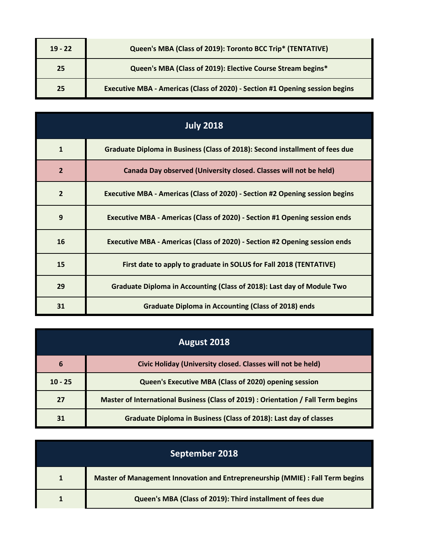| $19 - 22$ | Queen's MBA (Class of 2019): Toronto BCC Trip* (TENTATIVE)                   |
|-----------|------------------------------------------------------------------------------|
| 25        | Queen's MBA (Class of 2019): Elective Course Stream begins*                  |
| 25        | Executive MBA - Americas (Class of 2020) - Section #1 Opening session begins |

|                | <b>July 2018</b>                                                             |
|----------------|------------------------------------------------------------------------------|
| $\mathbf{1}$   | Graduate Diploma in Business (Class of 2018): Second installment of fees due |
| $\overline{2}$ | Canada Day observed (University closed. Classes will not be held)            |
| $\overline{2}$ | Executive MBA - Americas (Class of 2020) - Section #2 Opening session begins |
| 9              | Executive MBA - Americas (Class of 2020) - Section #1 Opening session ends   |
| 16             | Executive MBA - Americas (Class of 2020) - Section #2 Opening session ends   |
| 15             | First date to apply to graduate in SOLUS for Fall 2018 (TENTATIVE)           |
| 29             | Graduate Diploma in Accounting (Class of 2018): Last day of Module Two       |
| 31             | <b>Graduate Diploma in Accounting (Class of 2018) ends</b>                   |

| <b>August 2018</b> |                                                                                   |
|--------------------|-----------------------------------------------------------------------------------|
| 6                  | Civic Holiday (University closed. Classes will not be held)                       |
| $10 - 25$          | Queen's Executive MBA (Class of 2020) opening session                             |
| 27                 | Master of International Business (Class of 2019) : Orientation / Fall Term begins |
| 31                 | Graduate Diploma in Business (Class of 2018): Last day of classes                 |

| September 2018 |                                                                                |
|----------------|--------------------------------------------------------------------------------|
|                | Master of Management Innovation and Entrepreneurship (MMIE) : Fall Term begins |
|                | Queen's MBA (Class of 2019): Third installment of fees due                     |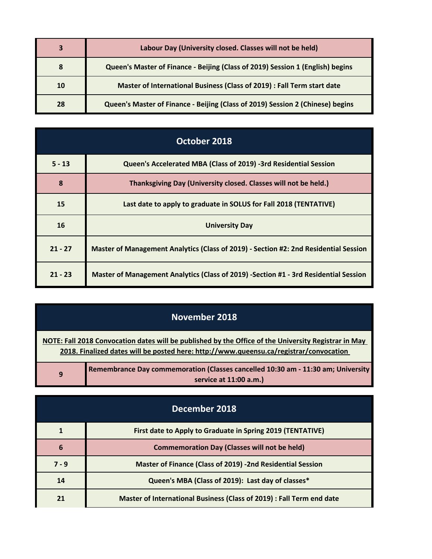| 3  | Labour Day (University closed. Classes will not be held)                       |
|----|--------------------------------------------------------------------------------|
| 8  | Queen's Master of Finance - Beijing (Class of 2019) Session 1 (English) begins |
| 10 | Master of International Business (Class of 2019) : Fall Term start date        |
| 28 | Queen's Master of Finance - Beijing (Class of 2019) Session 2 (Chinese) begins |

| October 2018 |                                                                                      |
|--------------|--------------------------------------------------------------------------------------|
| $5 - 13$     | Queen's Accelerated MBA (Class of 2019) -3rd Residential Session                     |
| 8            | Thanksgiving Day (University closed. Classes will not be held.)                      |
| 15           | Last date to apply to graduate in SOLUS for Fall 2018 (TENTATIVE)                    |
| 16           | <b>University Day</b>                                                                |
| $21 - 27$    | Master of Management Analytics (Class of 2019) - Section #2: 2nd Residential Session |
| $21 - 23$    | Master of Management Analytics (Class of 2019) -Section #1 - 3rd Residential Session |

| November 2018                                                                                                                                                                                  |                                                                                                            |
|------------------------------------------------------------------------------------------------------------------------------------------------------------------------------------------------|------------------------------------------------------------------------------------------------------------|
| NOTE: Fall 2018 Convocation dates will be published by the Office of the University Registrar in May<br>2018. Finalized dates will be posted here: http://www.queensu.ca/registrar/convocation |                                                                                                            |
| 9                                                                                                                                                                                              | Remembrance Day commemoration (Classes cancelled 10:30 am - 11:30 am; University<br>service at 11:00 a.m.) |

| December 2018 |                                                                       |
|---------------|-----------------------------------------------------------------------|
|               | First date to Apply to Graduate in Spring 2019 (TENTATIVE)            |
| 6             | <b>Commemoration Day (Classes will not be held)</b>                   |
| $7 - 9$       | <b>Master of Finance (Class of 2019) -2nd Residential Session</b>     |
| 14            | Queen's MBA (Class of 2019): Last day of classes*                     |
| 21            | Master of International Business (Class of 2019) : Fall Term end date |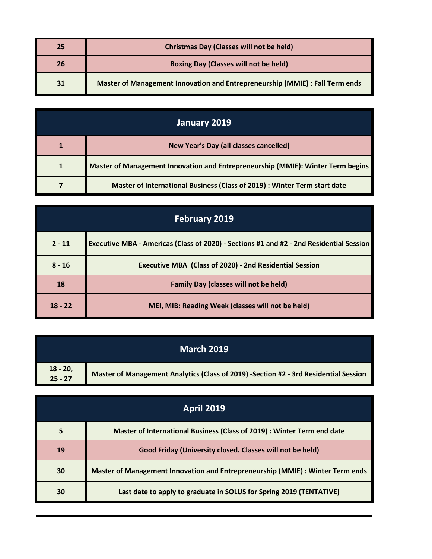| 25 | <b>Christmas Day (Classes will not be held)</b>                              |
|----|------------------------------------------------------------------------------|
| 26 | <b>Boxing Day (Classes will not be held)</b>                                 |
| 31 | Master of Management Innovation and Entrepreneurship (MMIE) : Fall Term ends |

| January 2019 |                                                                                 |
|--------------|---------------------------------------------------------------------------------|
|              | <b>New Year's Day (all classes cancelled)</b>                                   |
|              | Master of Management Innovation and Entrepreneurship (MMIE): Winter Term begins |
|              | Master of International Business (Class of 2019) : Winter Term start date       |

| <b>February 2019</b> |                                                                                         |
|----------------------|-----------------------------------------------------------------------------------------|
| $2 - 11$             | Executive MBA - Americas (Class of 2020) - Sections #1 and #2 - 2nd Residential Session |
| $8 - 16$             | <b>Executive MBA (Class of 2020) - 2nd Residential Session</b>                          |
| 18                   | <b>Family Day (classes will not be held)</b>                                            |
| $18 - 22$            | MEI, MIB: Reading Week (classes will not be held)                                       |

| <b>March 2019</b>      |                                                                                      |
|------------------------|--------------------------------------------------------------------------------------|
| $18 - 20$<br>$25 - 27$ | Master of Management Analytics (Class of 2019) -Section #2 - 3rd Residential Session |

| <b>April 2019</b> |                                                                                |
|-------------------|--------------------------------------------------------------------------------|
| 5                 | Master of International Business (Class of 2019) : Winter Term end date        |
| 19                | Good Friday (University closed. Classes will not be held)                      |
| 30                | Master of Management Innovation and Entrepreneurship (MMIE) : Winter Term ends |
| 30                | Last date to apply to graduate in SOLUS for Spring 2019 (TENTATIVE)            |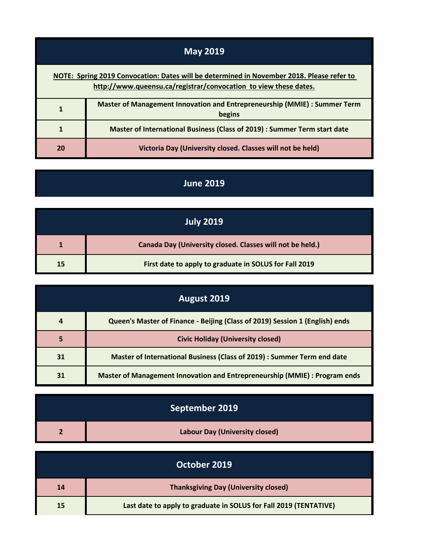| <b>May 2019</b>                                                                                                                                               |                                                                                     |
|---------------------------------------------------------------------------------------------------------------------------------------------------------------|-------------------------------------------------------------------------------------|
| NOTE: Spring 2019 Convocation: Dates will be determined in November 2018. Please refer to<br>http://www.queensu.ca/registrar/convocation to view these dates. |                                                                                     |
|                                                                                                                                                               | Master of Management Innovation and Entrepreneurship (MMIE) : Summer Term<br>begins |
|                                                                                                                                                               | Master of International Business (Class of 2019) : Summer Term start date           |
| 20                                                                                                                                                            | Victoria Day (University closed. Classes will not be held)                          |

 $\overline{a}$ 

## **June 2019**

| <b>July 2019</b> |                                                           |
|------------------|-----------------------------------------------------------|
|                  | Canada Day (University closed. Classes will not be held.) |
| 15               | First date to apply to graduate in SOLUS for Fall 2019    |

| August 2019 |                                                                              |
|-------------|------------------------------------------------------------------------------|
| 4           | Queen's Master of Finance - Beijing (Class of 2019) Session 1 (English) ends |
| 5           | <b>Civic Holiday (University closed)</b>                                     |
| 31          | Master of International Business (Class of 2019) : Summer Term end date      |
| 31          | Master of Management Innovation and Entrepreneurship (MMIE) : Program ends   |

| September 2019                        |
|---------------------------------------|
| <b>Labour Day (University closed)</b> |

| October 2019 |                                                                   |
|--------------|-------------------------------------------------------------------|
| 14           | <b>Thanksgiving Day (University closed)</b>                       |
| 15           | Last date to apply to graduate in SOLUS for Fall 2019 (TENTATIVE) |